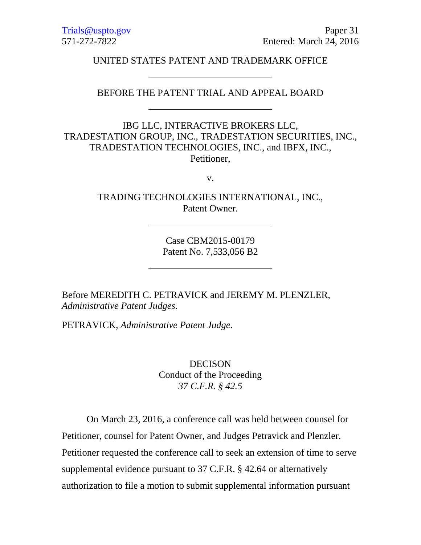UNITED STATES PATENT AND TRADEMARK OFFICE

### BEFORE THE PATENT TRIAL AND APPEAL BOARD

IBG LLC, INTERACTIVE BROKERS LLC, TRADESTATION GROUP, INC., TRADESTATION SECURITIES, INC., TRADESTATION TECHNOLOGIES, INC., and IBFX, INC., Petitioner,

v.

TRADING TECHNOLOGIES INTERNATIONAL, INC., Patent Owner.

> Case CBM2015-00179 Patent No. 7,533,056 B2

Before MEREDITH C. PETRAVICK and JEREMY M. PLENZLER, *Administrative Patent Judges.*

PETRAVICK, *Administrative Patent Judge*.

**DECISON** Conduct of the Proceeding *37 C.F.R. § 42.5*

On March 23, 2016, a conference call was held between counsel for Petitioner, counsel for Patent Owner, and Judges Petravick and Plenzler. Petitioner requested the conference call to seek an extension of time to serve supplemental evidence pursuant to 37 C.F.R. § 42.64 or alternatively authorization to file a motion to submit supplemental information pursuant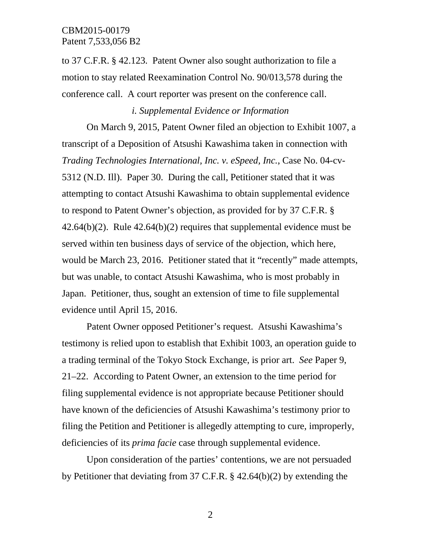to 37 C.F.R. § 42.123. Patent Owner also sought authorization to file a motion to stay related Reexamination Control No. 90/013,578 during the conference call. A court reporter was present on the conference call.

# *i. Supplemental Evidence or Information*

On March 9, 2015, Patent Owner filed an objection to Exhibit 1007, a transcript of a Deposition of Atsushi Kawashima taken in connection with *Trading Technologies International, Inc. v. eSpeed, Inc.*, Case No. 04-cv-5312 (N.D. Ill).Paper 30. During the call, Petitioner stated that it was attempting to contact Atsushi Kawashima to obtain supplemental evidence to respond to Patent Owner's objection, as provided for by 37 C.F.R. §  $42.64(b)(2)$ . Rule  $42.64(b)(2)$  requires that supplemental evidence must be served within ten business days of service of the objection, which here, would be March 23, 2016. Petitioner stated that it "recently" made attempts, but was unable, to contact Atsushi Kawashima, who is most probably in Japan. Petitioner, thus, sought an extension of time to file supplemental evidence until April 15, 2016.

Patent Owner opposed Petitioner's request. Atsushi Kawashima's testimony is relied upon to establish that Exhibit 1003, an operation guide to a trading terminal of the Tokyo Stock Exchange, is prior art. *See* Paper 9, 21–22. According to Patent Owner, an extension to the time period for filing supplemental evidence is not appropriate because Petitioner should have known of the deficiencies of Atsushi Kawashima's testimony prior to filing the Petition and Petitioner is allegedly attempting to cure, improperly, deficiencies of its *prima facie* case through supplemental evidence.

Upon consideration of the parties' contentions, we are not persuaded by Petitioner that deviating from 37 C.F.R. § 42.64(b)(2) by extending the

2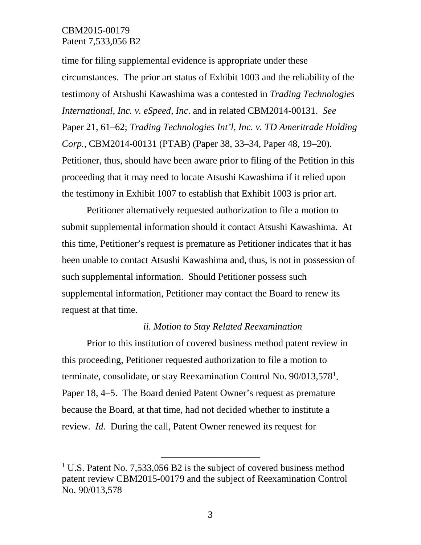## CBM2015-00179 Patent 7,533,056 B2

time for filing supplemental evidence is appropriate under these circumstances. The prior art status of Exhibit 1003 and the reliability of the testimony of Atshushi Kawashima was a contested in *Trading Technologies International, Inc. v. eSpeed, Inc*. and in related CBM2014-00131. *See*  Paper 21, 61–62; *Trading Technologies Int'l, Inc. v. TD Ameritrade Holding Corp.,* CBM2014-00131 (PTAB) (Paper 38, 33–34, Paper 48, 19–20). Petitioner, thus, should have been aware prior to filing of the Petition in this proceeding that it may need to locate Atsushi Kawashima if it relied upon the testimony in Exhibit 1007 to establish that Exhibit 1003 is prior art.

Petitioner alternatively requested authorization to file a motion to submit supplemental information should it contact Atsushi Kawashima. At this time, Petitioner's request is premature as Petitioner indicates that it has been unable to contact Atsushi Kawashima and, thus, is not in possession of such supplemental information. Should Petitioner possess such supplemental information, Petitioner may contact the Board to renew its request at that time.

#### *ii. Motion to Stay Related Reexamination*

Prior to this institution of covered business method patent review in this proceeding, Petitioner requested authorization to file a motion to terminate, consolidate, or stay Reexamination Control No. 90/0[1](#page-2-0)3,578<sup>1</sup>. Paper 18, 4–5. The Board denied Patent Owner's request as premature because the Board, at that time, had not decided whether to institute a review. *Id.* During the call, Patent Owner renewed its request for

<span id="page-2-0"></span><sup>&</sup>lt;sup>1</sup> U.S. Patent No. 7,533,056 B2 is the subject of covered business method patent review CBM2015-00179 and the subject of Reexamination Control No. 90/013,578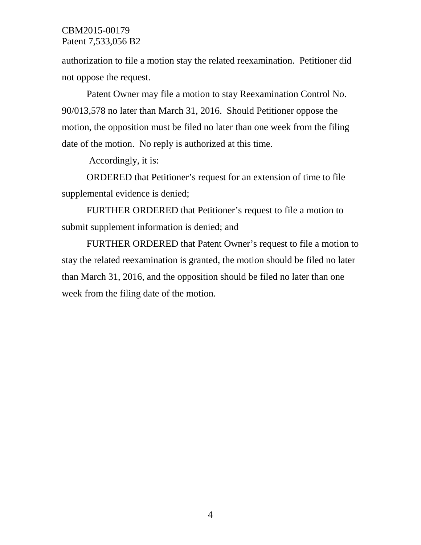# CBM2015-00179 Patent 7,533,056 B2

authorization to file a motion stay the related reexamination. Petitioner did not oppose the request.

Patent Owner may file a motion to stay Reexamination Control No. 90/013,578 no later than March 31, 2016. Should Petitioner oppose the motion, the opposition must be filed no later than one week from the filing date of the motion. No reply is authorized at this time.

Accordingly, it is:

ORDERED that Petitioner's request for an extension of time to file supplemental evidence is denied;

FURTHER ORDERED that Petitioner's request to file a motion to submit supplement information is denied; and

FURTHER ORDERED that Patent Owner's request to file a motion to stay the related reexamination is granted, the motion should be filed no later than March 31, 2016, and the opposition should be filed no later than one week from the filing date of the motion.